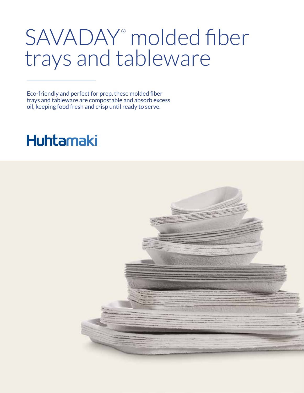## SAVADAY® molded fiber trays and tableware

Eco-friendly and perfect for prep, these molded fiber trays and tableware are compostable and absorb excess oil, keeping food fresh and crisp until ready to serve.

## **Huhtamaki**